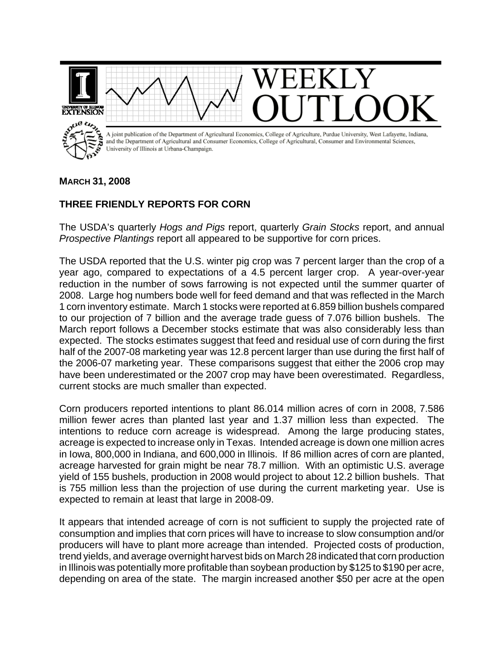

## **MARCH 31, 2008**

## **THREE FRIENDLY REPORTS FOR CORN**

The USDA's quarterly *Hogs and Pigs* report, quarterly *Grain Stocks* report, and annual *Prospective Plantings* report all appeared to be supportive for corn prices.

The USDA reported that the U.S. winter pig crop was 7 percent larger than the crop of a year ago, compared to expectations of a 4.5 percent larger crop. A year-over-year reduction in the number of sows farrowing is not expected until the summer quarter of 2008. Large hog numbers bode well for feed demand and that was reflected in the March 1 corn inventory estimate. March 1 stocks were reported at 6.859 billion bushels compared to our projection of 7 billion and the average trade guess of 7.076 billion bushels. The March report follows a December stocks estimate that was also considerably less than expected. The stocks estimates suggest that feed and residual use of corn during the first half of the 2007-08 marketing year was 12.8 percent larger than use during the first half of the 2006-07 marketing year. These comparisons suggest that either the 2006 crop may have been underestimated or the 2007 crop may have been overestimated. Regardless, current stocks are much smaller than expected.

Corn producers reported intentions to plant 86.014 million acres of corn in 2008, 7.586 million fewer acres than planted last year and 1.37 million less than expected. The intentions to reduce corn acreage is widespread. Among the large producing states, acreage is expected to increase only in Texas. Intended acreage is down one million acres in Iowa, 800,000 in Indiana, and 600,000 in Illinois. If 86 million acres of corn are planted, acreage harvested for grain might be near 78.7 million. With an optimistic U.S. average yield of 155 bushels, production in 2008 would project to about 12.2 billion bushels. That is 755 million less than the projection of use during the current marketing year. Use is expected to remain at least that large in 2008-09.

It appears that intended acreage of corn is not sufficient to supply the projected rate of consumption and implies that corn prices will have to increase to slow consumption and/or producers will have to plant more acreage than intended. Projected costs of production, trend yields, and average overnight harvest bids on March 28 indicated that corn production in Illinois was potentially more profitable than soybean production by \$125 to \$190 per acre, depending on area of the state. The margin increased another \$50 per acre at the open